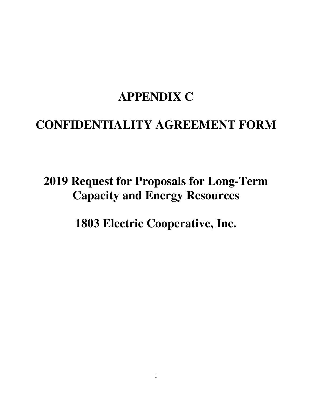# **APPENDIX C**

## **CONFIDENTIALITY AGREEMENT FORM**

# **2019 Request for Proposals for Long-Term Capacity and Energy Resources**

**1803 Electric Cooperative, Inc.**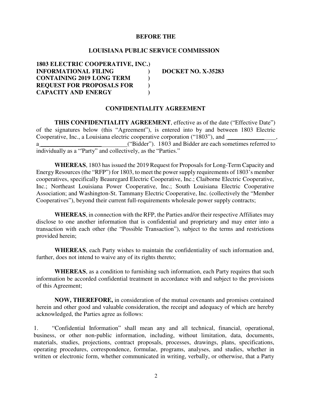#### **BEFORE THE**

## **LOUISIANA PUBLIC SERVICE COMMISSION**

**1803 ELECTRIC COOPERATIVE, INC.) INFORMATIONAL FILING ) DOCKET NO. X-35283 CONTAINING 2019 LONG TERM ) REQUEST FOR PROPOSALS FOR ) CAPACITY AND ENERGY )** 

#### **CONFIDENTIALITY AGREEMENT**

**THIS CONFIDENTIALITY AGREEMENT**, effective as of the date ("Effective Date") of the signatures below (this "Agreement"), is entered into by and between 1803 Electric Cooperative, Inc., a Louisiana electric cooperative corporation ("1803"), and ("Bidder"). 1803 and Bidder are each sometimes referred to individually as a "'Party" and collectively, as the "Parties."

**WHEREAS**, 1803 has issued the 2019 Request for Proposals for Long-Term Capacity and Energy Resources (the "RFP") for 1803, to meet the power supply requirements of 1803's member cooperatives, specifically Beauregard Electric Cooperative, Inc.; Claiborne Electric Cooperative, Inc.; Northeast Louisiana Power Cooperative, Inc.; South Louisiana Electric Cooperative Association; and Washington-St. Tammany Electric Cooperative, Inc. (collectively the "Member Cooperatives"), beyond their current full-requirements wholesale power supply contracts;

**WHEREAS**, in connection with the RFP, the Parties and/or their respective Affiliates may disclose to one another information that is confidential and proprietary and may enter into a transaction with each other (the "Possible Transaction"), subject to the terms and restrictions provided herein;

**WHEREAS**, each Party wishes to maintain the confidentiality of such information and, further, does not intend to waive any of its rights thereto;

**WHEREAS**, as a condition to furnishing such information, each Party requires that such information be accorded confidential treatment in accordance with and subject to the provisions of this Agreement;

**NOW, THEREFORE,** in consideration of the mutual covenants and promises contained herein and other good and valuable consideration, the receipt and adequacy of which are hereby acknowledged, the Parties agree as follows:

1. "Confidential Information" shall mean any and all technical, financial, operational, business, or other non-public information, including, without limitation, data, documents, materials, studies, projections, contract proposals, processes, drawings, plans, specifications, operating procedures, correspondence, formulae, programs, analyses, and studies, whether in written or electronic form, whether communicated in writing, verbally, or otherwise, that a Party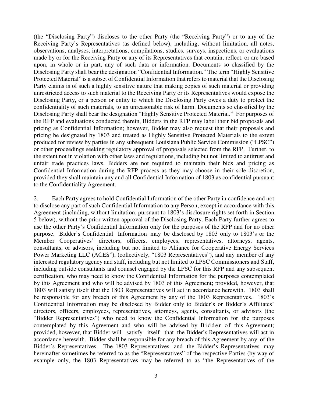(the "Disclosing Party") discloses to the other Party (the "Receiving Party") or to any of the Receiving Party's Representatives (as defined below), including, without limitation, all notes, observations, analyses, interpretations, compilations, studies, surveys, inspections, or evaluations made by or for the Receiving Party or any of its Representatives that contain, reflect, or are based upon, in whole or in part, any of such data or information. Documents so classified by the Disclosing Party shall bear the designation "Confidential Information." The term "Highly Sensitive Protected Material" is a subset of Confidential Information that refers to material that the Disclosing Party claims is of such a highly sensitive nature that making copies of such material or providing unrestricted access to such material to the Receiving Party or its Representatives would expose the Disclosing Party, or a person or entity to which the Disclosing Party owes a duty to protect the confidentiality of such materials, to an unreasonable risk of harm. Documents so classified by the Disclosing Party shall bear the designation "Highly Sensitive Protected Material." For purposes of the RFP and evaluations conducted therein, Bidders in the RFP may label their bid proposals and pricing as Confidential Information; however, Bidder may also request that their proposals and pricing be designated by 1803 and treated as Highly Sensitive Protected Materials to the extent produced for review by parties in any subsequent Louisiana Public Service Commission ("LPSC") or other proceedings seeking regulatory approval of proposals selected from the RFP. Further, to the extent not in violation with other laws and regulations, including but not limited to antitrust and unfair trade practices laws, Bidders are not required to maintain their bids and pricing as Confidential Information during the RFP process as they may choose in their sole discretion, provided they shall maintain any and all Confidential Information of 1803 as confidential pursuant to the Confidentiality Agreement.

2. Each Party agrees to hold Confidential Information of the other Party in confidence and not to disclose any part of such Confidential Information to any Person, except in accordance with this Agreement (including, without limitation, pursuant to 1803's disclosure rights set forth in Section 5 below), without the prior written approval of the Disclosing Party. Each Party further agrees to use the other Party's Confidential Information only for the purposes of the RFP and for no other purpose. Bidder's Confidential Information may be disclosed by 1803 only to 1803's or the Member Cooperatives' directors, officers, employees, representatives, attorneys, agents, consultants, or advisors, including but not limited to Alliance for Cooperative Energy Services Power Marketing LLC (ACES"), (collectively, "1803 Representatives"), and any member of any interested regulatory agency and staff, including but not limited to LPSC Commissioners and Staff, including outside consultants and counsel engaged by the LPSC for this RFP and any subsequent certification, who may need to know the Confidential Information for the purposes contemplated by this Agreement and who will be advised by 1803 of this Agreement; provided, however, that 1803 will satisfy itself that the 1803 Representatives will act in accordance herewith. 1803 shall be responsible for any breach of this Agreement by any of the 1803 Representatives. 1803's Confidential Information may be disclosed by Bidder only to Bidder's or Bidder's Affiliates' directors, officers, employees, representatives, attorneys, agents, consultants, or advisors (the "Bidder Representatives") who need to know the Confidential Information for the purposes contemplated by this Agreement and who will be advised by Bidder of this Agreement; provided, however, that Bidder will satisfy itself that the Bidder's Representatives will act in accordance herewith. Bidder shall be responsible for any breach of this Agreement by any of the Bidder's Representatives. The 1803 Representatives and the Bidder's Representatives may hereinafter sometimes be referred to as the "Representatives" of the respective Parties (by way of example only, the 1803 Representatives may be referred to as "the Representatives of the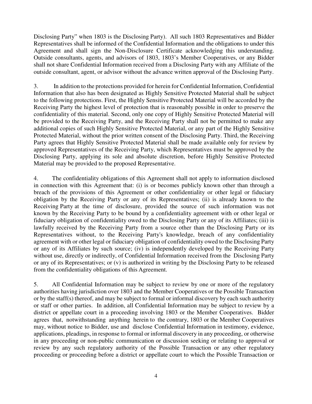Disclosing Party" when 1803 is the Disclosing Party). All such 1803 Representatives and Bidder Representatives shall be informed of the Confidential Information and the obligations to under this Agreement and shall sign the Non-Disclosure Certificate acknowledging this understanding. Outside consultants, agents, and advisors of 1803, 1803's Member Cooperatives, or any Bidder shall not share Confidential Information received from a Disclosing Party with any Affiliate of the outside consultant, agent, or advisor without the advance written approval of the Disclosing Party.

3. In addition to the protections provided for herein for Confidential Information, Confidential Information that also has been designated as Highly Sensitive Protected Material shall be subject to the following protections. First, the Highly Sensitive Protected Material will be accorded by the Receiving Party the highest level of protection that is reasonably possible in order to preserve the confidentiality of this material. Second, only one copy of Highly Sensitive Protected Material will be provided to the Receiving Party, and the Receiving Party shall not be permitted to make any additional copies of such Highly Sensitive Protected Material, or any part of the Highly Sensitive Protected Material, without the prior written consent of the Disclosing Party. Third, the Receiving Party agrees that Highly Sensitive Protected Material shall be made available only for review by approved Representatives of the Receiving Party, which Representatives must be approved by the Disclosing Party, applying its sole and absolute discretion, before Highly Sensitive Protected Material may be provided to the proposed Representative.

4. The confidentiality obligations of this Agreement shall not apply to information disclosed in connection with this Agreement that: (i) is or becomes publicly known other than through a breach of the provisions of this Agreement or other confidentiality or other legal or fiduciary obligation by the Receiving Party or any of its Representatives; (ii) is already known to the Receiving Party at the time of disclosure, provided the source of such information was not known by the Receiving Party to be bound by a confidentiality agreement with or other legal or fiduciary obligation of confidentiality owed to the Disclosing Party or any of its Affiliates; (iii) is lawfully received by the Receiving Party from a source other than the Disclosing Party or its Representatives without, to the Receiving Party's knowledge, breach of any confidentiality agreement with or other legal or fiduciary obligation of confidentiality owed to the Disclosing Party or any of its Affiliates by such source; (iv) is independently developed by the Receiving Party without use, directly or indirectly, of Confidential Information received from the Disclosing Party or any of its Representatives; or (v) is authorized in writing by the Disclosing Party to be released from the confidentiality obligations of this Agreement.

5. All Confidential Information may be subject to review by one or more of the regulatory authorities having jurisdiction over 1803 and the Member Cooperatives or the Possible Transaction or by the staff(s) thereof, and may be subject to formal or informal discovery by each such authority or staff or other parties. In addition, all Confidential Information may be subject to review by a district or appellate court in a proceeding involving 1803 or the Member Cooperatives. Bidder agrees that, notwithstanding anything herein to the contrary, 1803 or the Member Cooperatives may, without notice to Bidder, use and disclose Confidential Information in testimony, evidence, applications, pleadings, in response to formal or informal discovery in any proceeding, or otherwise in any proceeding or non-public communication or discussion seeking or relating to approval or review by any such regulatory authority of the Possible Transaction or any other regulatory proceeding or proceeding before a district or appellate court to which the Possible Transaction or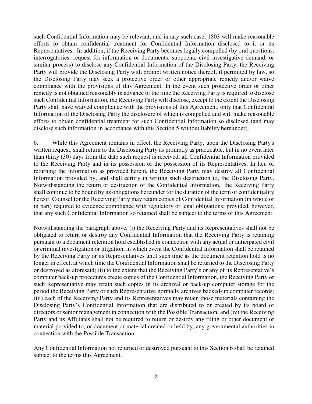such Confidential Information may be relevant, and in any such case, 1803 will make reasonable efforts to obtain confidential treatment for Confidential Information disclosed to it or its Representatives. In addition, if the Receiving Party becomes legally compelled (by oral questions, interrogatories, request for information or documents, subpoena, civil investigative demand, or similar process) to disclose any Confidential Information of the Disclosing Party, the Receiving Party will provide the Disclosing Party with prompt written notice thereof, if permitted by law, so the Disclosing Party may seek a protective order or other appropriate remedy and/or waive compliance with the provisions of this Agreement. In the event such protective order or other remedy is not obtained reasonably in advance of the time the Receiving Party is required to disclose such Confidential Information, the Receiving Party will disclose, except to the extent the Disclosing Party shall have waived compliance with the provisions of this Agreement, only that Confidential Information of the Disclosing Party the disclosure of which is compelled and will make reasonable efforts to obtain confidential treatment for such Confidential Information so disclosed (and may disclose such information in accordance with this Section 5 without liability hereunder).

6. While this Agreement remains in effect, the Receiving Party, upon the Disclosing Party's written request, shall return to the Disclosing Party as promptly as practicable, but in no event later than thirty (30) days from the date such request is received, all Confidential Information provided to the Receiving Party and in its possession or the possession of its Representatives. In lieu of returning the information as provided herein, the Receiving Party may destroy all Confidential Information provided by, and shall certify in writing such destruction to, the Disclosing Party. Notwithstanding the return or destruction of the Confidential Information, the Receiving Party shall continue to be bound by its obligations hereunder for the duration of the term of confidentiality hereof. Counsel for the Receiving Party may retain copies of Confidential Information (in whole or in part) required to evidence compliance with regulatory or legal obligations; provided, however, that any such Confidential Information so retained shall be subject to the terms of this Agreement.

Notwithstanding the paragraph above, (i) the Receiving Party and its Representatives shall not be obligated to return or destroy any Confidential Information that the Receiving Party is retaining pursuant to a document retention hold established in connection with any actual or anticipated civil or criminal investigation or litigation, in which event the Confidential Information shall be retained by the Receiving Party or its Representatives until such time as the document retention hold is no longer in effect, at which time the Confidential Information shall be returned to the Disclosing Party or destroyed as aforesaid; (ii) to the extent that the Receiving Party's or any of its Representative's computer back-up procedures create copies of the Confidential Information, the Receiving Party or such Representative may retain such copies in its archival or back-up computer storage for the period the Receiving Party or such Representative normally archives backed-up computer records; (iii) each of the Receiving Party and its Representatives may retain those materials containing the Disclosing Party's Confidential Information that are distributed to or created by its board of directors or senior management in connection with the Possible Transaction; and (iv) the Receiving Party and its Affiliates shall not be required to return or destroy any filing or other document or material provided to, or document or material created or held by, any governmental authorities in connection with the Possible Transaction.

Any Confidential Information not returned or destroyed pursuant to this Section 6 shall be retained subject to the terms this Agreement.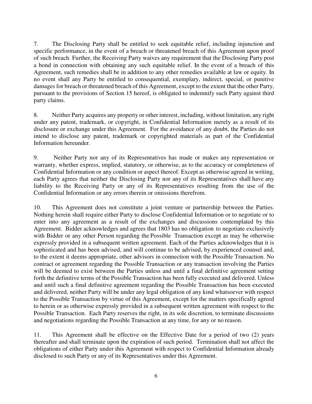7. The Disclosing Party shall be entitled to seek equitable relief, including injunction and specific performance, in the event of a breach or threatened breach of this Agreement upon proof of such breach. Further, the Receiving Party waives any requirement that the Disclosing Party post a bond in connection with obtaining any such equitable relief. In the event of a breach of this Agreement, such remedies shall be in addition to any other remedies available at law or equity. In no event shall any Party be entitled to consequential, exemplary, indirect, special, or punitive damages for breach or threatened breach of this Agreement, except to the extent that the other Party, pursuant to the provisions of Section 15 hereof, is obligated to indemnify such Party against third party claims.

8. Neither Party acquires any property or other interest, including, without limitation, any right under any patent, trademark, or copyright, in Confidential Information merely as a result of its disclosure or exchange under this Agreement. For the avoidance of any doubt, the Parties do not intend to disclose any patent, trademark or copyrighted materials as part of the Confidential Information hereunder.

9. Neither Party nor any of its Representatives has made or makes any representation or warranty, whether express, implied, statutory, or otherwise, as to the accuracy or completeness of Confidential Information or any condition or aspect thereof. Except as otherwise agreed in writing, each Party agrees that neither the Disclosing Party nor any of its Representatives shall have any liability to the Receiving Party or any of its Representatives resulting from the use of the Confidential Information or any errors therein or omissions therefrom.

10. This Agreement does not constitute a joint venture or partnership between the Parties. Nothing herein shall require either Party to disclose Confidential Information or to negotiate or to enter into any agreement as a result of the exchanges and discussions contemplated by this Agreement. Bidder acknowledges and agrees that 1803 has no obligation to negotiate exclusively with Bidder or any other Person regarding the Possible Transaction except as may be otherwise expressly provided in a subsequent written agreement. Each of the Parties acknowledges that it is sophisticated and has been advised, and will continue to be advised, by experienced counsel and, to the extent it deems appropriate, other advisors in connection with the Possible Transaction. No contract or agreement regarding the Possible Transaction or any transaction involving the Parties will be deemed to exist between the Parties unless and until a final definitive agreement setting forth the definitive terms of the Possible Transaction has been fully executed and delivered. Unless and until such a final definitive agreement regarding the Possible Transaction has been executed and delivered, neither Party will be under any legal obligation of any kind whatsoever with respect to the Possible Transaction by virtue of this Agreement, except for the matters specifically agreed to herein or as otherwise expressly provided in a subsequent written agreement with respect to the Possible Transaction. Each Party reserves the right, in its sole discretion, to terminate discussions and negotiations regarding the Possible Transaction at any time, for any or no reason.

11. This Agreement shall be effective on the Effective Date for a period of two (2) years thereafter and shall terminate upon the expiration of such period. Termination shall not affect the obligations of either Party under this Agreement with respect to Confidential Information already disclosed to such Party or any of its Representatives under this Agreement.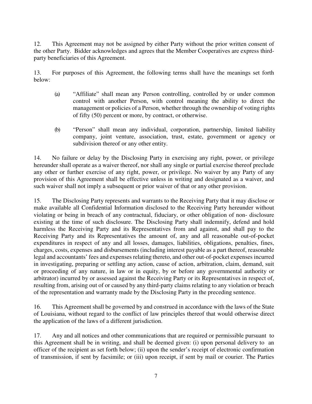12. This Agreement may not be assigned by either Party without the prior written consent of the other Party. Bidder acknowledges and agrees that the Member Cooperatives are express thirdparty beneficiaries of this Agreement.

13. For purposes of this Agreement, the following terms shall have the meanings set forth below:

- (a) "Affiliate" shall mean any Person controlling, controlled by or under common control with another Person, with control meaning the ability to direct the management or policies of a Person, whether through the ownership of voting rights of fifty (50) percent or more, by contract, or otherwise.
- (b) "Person" shall mean any individual, corporation, partnership, limited liability company, joint venture, association, trust, estate, government or agency or subdivision thereof or any other entity.

14. No failure or delay by the Disclosing Party in exercising any right, power, or privilege hereunder shall operate as a waiver thereof, nor shall any single or partial exercise thereof preclude any other or further exercise of any right, power, or privilege. No waiver by any Party of any provision of this Agreement shall be effective unless in writing and designated as a waiver, and such waiver shall not imply a subsequent or prior waiver of that or any other provision.

15. The Disclosing Party represents and warrants to the Receiving Party that it may disclose or make available all Confidential Information disclosed to the Receiving Party hereunder without violating or being in breach of any contractual, fiduciary, or other obligation of non- disclosure existing at the time of such disclosure. The Disclosing Party shall indemnify, defend and hold harmless the Receiving Party and its Representatives from and against, and shall pay to the Receiving Party and its Representatives the amount of, any and all reasonable out-of-pocket expenditures in respect of any and all losses, damages, liabilities, obligations, penalties, fines, charges, costs, expenses and disbursements (including interest payable as a part thereof, reasonable legal and accountants' fees and expenses relating thereto, and other out-of-pocket expenses incurred in investigating, preparing or settling any action, cause of action, arbitration, claim, demand, suit or proceeding of any nature, in law or in equity, by or before any governmental authority or arbitrator) incurred by or assessed against the Receiving Party or its Representatives in respect of, resulting from, arising out of or caused by any third-party claims relating to any violation or breach of the representation and warranty made by the Disclosing Party in the preceding sentence.

16. This Agreement shall be governed by and construed in accordance with the laws of the State of Louisiana, without regard to the conflict of law principles thereof that would otherwise direct the application of the laws of a different jurisdiction.

17. Any and all notices and other communications that are required or permissible pursuant to this Agreement shall be in writing, and shall be deemed given: (i) upon personal delivery to an officer of the recipient as set forth below; (ii) upon the sender's receipt of electronic confirmation of transmission, if sent by facsimile; or (iii) upon receipt, if sent by mail or courier. The Parties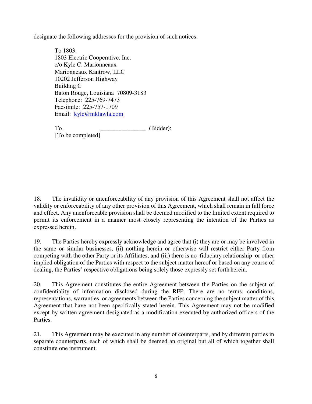designate the following addresses for the provision of such notices:

To 1803: 1803 Electric Cooperative, Inc. c/o Kyle C. Marionneaux Marionneaux Kantrow, LLC 10202 Jefferson Highway Building C Baton Rouge, Louisiana 70809-3183 Telephone: 225-769-7473 Facsimile: 225-757-1709 Email: kyle@mklawla.com

To  $(Bidder)$ : [To be completed]

18. The invalidity or unenforceability of any provision of this Agreement shall not affect the validity or enforceability of any other provision of this Agreement, which shall remain in full force and effect. Any unenforceable provision shall be deemed modified to the limited extent required to permit its enforcement in a manner most closely representing the intention of the Parties as expressed herein.

19. The Parties hereby expressly acknowledge and agree that (i) they are or may be involved in the same or similar businesses, (ii) nothing herein or otherwise will restrict either Party from competing with the other Party or its Affiliates, and (iii) there is no fiduciary relationship or other implied obligation of the Parties with respect to the subject matter hereof or based on any course of dealing, the Parties' respective obligations being solely those expressly set forth herein.

20. This Agreement constitutes the entire Agreement between the Parties on the subject of confidentiality of information disclosed during the RFP. There are no terms, conditions, representations, warranties, or agreements between the Parties concerning the subject matter of this Agreement that have not been specifically stated herein. This Agreement may not be modified except by written agreement designated as a modification executed by authorized officers of the Parties.

21. This Agreement may be executed in any number of counterparts, and by different parties in separate counterparts, each of which shall be deemed an original but all of which together shall constitute one instrument.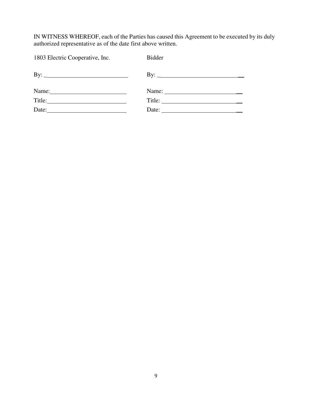IN WITNESS WHEREOF, each of the Parties has caused this Agreement to be executed by its duly authorized representative as of the date first above written.

| <b>Bidder</b>                                            |
|----------------------------------------------------------|
|                                                          |
| Name: $\frac{1}{\sqrt{1-\frac{1}{2}} \cdot \frac{1}{2}}$ |
|                                                          |
|                                                          |
|                                                          |